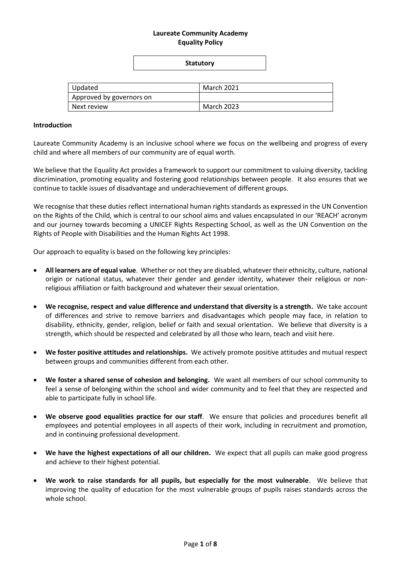# **Laureate Community Academy Equality Policy**

# **Statutory**

| Updated                  | March 2021 |
|--------------------------|------------|
| Approved by governors on |            |
| l Next review            | March 2023 |

#### **Introduction**

Laureate Community Academy is an inclusive school where we focus on the wellbeing and progress of every child and where all members of our community are of equal worth.

We believe that the Equality Act provides a framework to support our commitment to valuing diversity, tackling discrimination, promoting equality and fostering good relationships between people. It also ensures that we continue to tackle issues of disadvantage and underachievement of different groups.

We recognise that these duties reflect international human rights standards as expressed in the UN Convention on the Rights of the Child, which is central to our school aims and values encapsulated in our 'REACH' acronym and our journey towards becoming a UNICEF Rights Respecting School, as well as the UN Convention on the Rights of People with Disabilities and the Human Rights Act 1998.

Our approach to equality is based on the following key principles:

- **All learners are of equal value**. Whether or not they are disabled, whatever their ethnicity, culture, national origin or national status, whatever their gender and gender identity, whatever their religious or nonreligious affiliation or faith background and whatever their sexual orientation.
- **We recognise, respect and value difference and understand that diversity is a strength.** We take account of differences and strive to remove barriers and disadvantages which people may face, in relation to disability, ethnicity, gender, religion, belief or faith and sexual orientation. We believe that diversity is a strength, which should be respected and celebrated by all those who learn, teach and visit here.
- **We foster positive attitudes and relationships.** We actively promote positive attitudes and mutual respect between groups and communities different from each other.
- **We foster a shared sense of cohesion and belonging.** We want all members of our school community to feel a sense of belonging within the school and wider community and to feel that they are respected and able to participate fully in school life.
- **We observe good equalities practice for our staff**. We ensure that policies and procedures benefit all employees and potential employees in all aspects of their work, including in recruitment and promotion, and in continuing professional development.
- **We have the highest expectations of all our children.** We expect that all pupils can make good progress and achieve to their highest potential.
- **We work to raise standards for all pupils, but especially for the most vulnerable**. We believe that improving the quality of education for the most vulnerable groups of pupils raises standards across the whole school.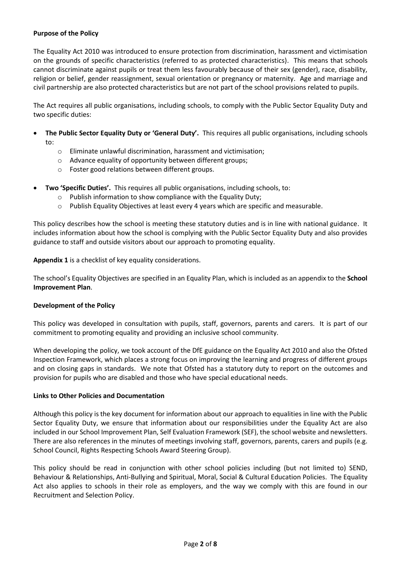# **Purpose of the Policy**

The Equality Act 2010 was introduced to ensure protection from discrimination, harassment and victimisation on the grounds of specific characteristics (referred to as protected characteristics). This means that schools cannot discriminate against pupils or treat them less favourably because of their sex (gender), race, disability, religion or belief, gender reassignment, sexual orientation or pregnancy or maternity. Age and marriage and civil partnership are also protected characteristics but are not part of the school provisions related to pupils.

The Act requires all public organisations, including schools, to comply with the Public Sector Equality Duty and two specific duties:

- **The Public Sector Equality Duty or 'General Duty'.** This requires all public organisations, including schools to:
	- o Eliminate unlawful discrimination, harassment and victimisation;
	- o Advance equality of opportunity between different groups;
	- o Foster good relations between different groups.
- **Two 'Specific Duties'.** This requires all public organisations, including schools, to:
	- o Publish information to show compliance with the Equality Duty;
	- o Publish Equality Objectives at least every 4 years which are specific and measurable.

This policy describes how the school is meeting these statutory duties and is in line with national guidance. It includes information about how the school is complying with the Public Sector Equality Duty and also provides guidance to staff and outside visitors about our approach to promoting equality.

**Appendix 1** is a checklist of key equality considerations.

The school's Equality Objectives are specified in an Equality Plan, which is included as an appendix to the **School Improvement Plan**.

### **Development of the Policy**

This policy was developed in consultation with pupils, staff, governors, parents and carers. It is part of our commitment to promoting equality and providing an inclusive school community.

When developing the policy, we took account of the DfE guidance on the Equality Act 2010 and also the Ofsted Inspection Framework, which places a strong focus on improving the learning and progress of different groups and on closing gaps in standards. We note that Ofsted has a statutory duty to report on the outcomes and provision for pupils who are disabled and those who have special educational needs.

# **Links to Other Policies and Documentation**

Although this policy is the key document for information about our approach to equalities in line with the Public Sector Equality Duty, we ensure that information about our responsibilities under the Equality Act are also included in our School Improvement Plan, Self Evaluation Framework (SEF), the school website and newsletters. There are also references in the minutes of meetings involving staff, governors, parents, carers and pupils (e.g. School Council, Rights Respecting Schools Award Steering Group).

This policy should be read in conjunction with other school policies including (but not limited to) SEND, Behaviour & Relationships, Anti-Bullying and Spiritual, Moral, Social & Cultural Education Policies. The Equality Act also applies to schools in their role as employers, and the way we comply with this are found in our Recruitment and Selection Policy.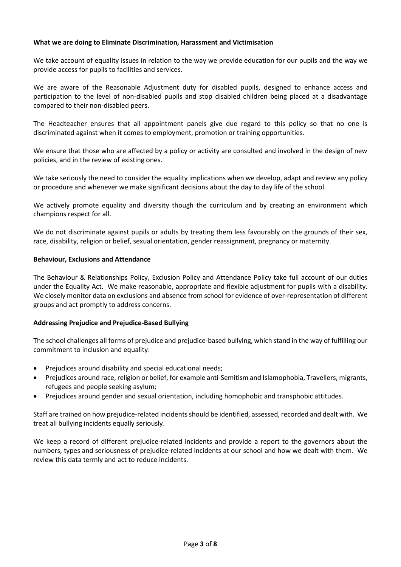# **What we are doing to Eliminate Discrimination, Harassment and Victimisation**

We take account of equality issues in relation to the way we provide education for our pupils and the way we provide access for pupils to facilities and services.

We are aware of the Reasonable Adjustment duty for disabled pupils, designed to enhance access and participation to the level of non-disabled pupils and stop disabled children being placed at a disadvantage compared to their non-disabled peers.

The Headteacher ensures that all appointment panels give due regard to this policy so that no one is discriminated against when it comes to employment, promotion or training opportunities.

We ensure that those who are affected by a policy or activity are consulted and involved in the design of new policies, and in the review of existing ones.

We take seriously the need to consider the equality implications when we develop, adapt and review any policy or procedure and whenever we make significant decisions about the day to day life of the school.

We actively promote equality and diversity though the curriculum and by creating an environment which champions respect for all.

We do not discriminate against pupils or adults by treating them less favourably on the grounds of their sex, race, disability, religion or belief, sexual orientation, gender reassignment, pregnancy or maternity.

### **Behaviour, Exclusions and Attendance**

The Behaviour & Relationships Policy, Exclusion Policy and Attendance Policy take full account of our duties under the Equality Act. We make reasonable, appropriate and flexible adjustment for pupils with a disability. We closely monitor data on exclusions and absence from school for evidence of over-representation of different groups and act promptly to address concerns.

### **Addressing Prejudice and Prejudice-Based Bullying**

The school challenges all forms of prejudice and prejudice-based bullying, which stand in the way of fulfilling our commitment to inclusion and equality:

- Prejudices around disability and special educational needs;
- Prejudices around race, religion or belief, for example anti-Semitism and Islamophobia, Travellers, migrants, refugees and people seeking asylum;
- Prejudices around gender and sexual orientation, including homophobic and transphobic attitudes.

Staff are trained on how prejudice-related incidents should be identified, assessed, recorded and dealt with. We treat all bullying incidents equally seriously.

We keep a record of different prejudice-related incidents and provide a report to the governors about the numbers, types and seriousness of prejudice-related incidents at our school and how we dealt with them. We review this data termly and act to reduce incidents.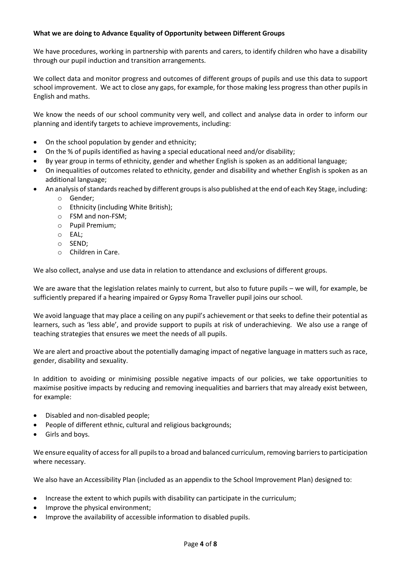# **What we are doing to Advance Equality of Opportunity between Different Groups**

We have procedures, working in partnership with parents and carers, to identify children who have a disability through our pupil induction and transition arrangements.

We collect data and monitor progress and outcomes of different groups of pupils and use this data to support school improvement. We act to close any gaps, for example, for those making less progress than other pupils in English and maths.

We know the needs of our school community very well, and collect and analyse data in order to inform our planning and identify targets to achieve improvements, including:

- On the school population by gender and ethnicity;
- On the % of pupils identified as having a special educational need and/or disability;
- By year group in terms of ethnicity, gender and whether English is spoken as an additional language;
- On inequalities of outcomes related to ethnicity, gender and disability and whether English is spoken as an additional language;
	- An analysis of standards reached by different groups is also published at the end of each Key Stage, including:
		- o Gender;
		- o Ethnicity (including White British);
		- o FSM and non-FSM;
		- o Pupil Premium;
		- o EAL;
		- o SEND;
		- o Children in Care.

We also collect, analyse and use data in relation to attendance and exclusions of different groups.

We are aware that the legislation relates mainly to current, but also to future pupils – we will, for example, be sufficiently prepared if a hearing impaired or Gypsy Roma Traveller pupil joins our school.

We avoid language that may place a ceiling on any pupil's achievement or that seeks to define their potential as learners, such as 'less able', and provide support to pupils at risk of underachieving. We also use a range of teaching strategies that ensures we meet the needs of all pupils.

We are alert and proactive about the potentially damaging impact of negative language in matters such as race, gender, disability and sexuality.

In addition to avoiding or minimising possible negative impacts of our policies, we take opportunities to maximise positive impacts by reducing and removing inequalities and barriers that may already exist between, for example:

- Disabled and non-disabled people;
- People of different ethnic, cultural and religious backgrounds;
- Girls and boys.

We ensure equality of access for all pupils to a broad and balanced curriculum, removing barriers to participation where necessary.

We also have an Accessibility Plan (included as an appendix to the School Improvement Plan) designed to:

- Increase the extent to which pupils with disability can participate in the curriculum;
- Improve the physical environment;
- Improve the availability of accessible information to disabled pupils.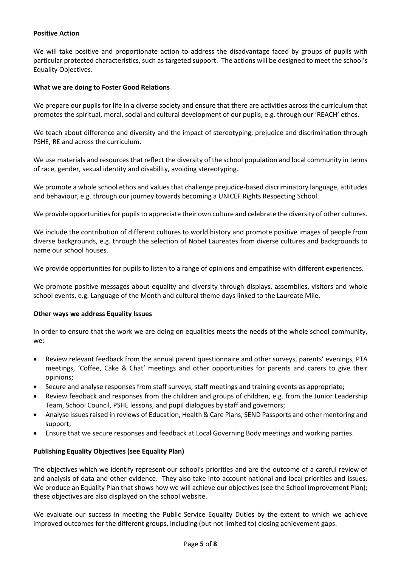# **Positive Action**

We will take positive and proportionate action to address the disadvantage faced by groups of pupils with particular protected characteristics, such as targeted support. The actions will be designed to meet the school's Equality Objectives.

# **What we are doing to Foster Good Relations**

We prepare our pupils for life in a diverse society and ensure that there are activities across the curriculum that promotes the spiritual, moral, social and cultural development of our pupils, e.g. through our 'REACH' ethos.

We teach about difference and diversity and the impact of stereotyping, prejudice and discrimination through PSHE, RE and across the curriculum.

We use materials and resources that reflect the diversity of the school population and local community in terms of race, gender, sexual identity and disability, avoiding stereotyping.

We promote a whole school ethos and values that challenge prejudice-based discriminatory language, attitudes and behaviour, e.g. through our journey towards becoming a UNICEF Rights Respecting School.

We provide opportunities for pupils to appreciate their own culture and celebrate the diversity of other cultures.

We include the contribution of different cultures to world history and promote positive images of people from diverse backgrounds, e.g. through the selection of Nobel Laureates from diverse cultures and backgrounds to name our school houses.

We provide opportunities for pupils to listen to a range of opinions and empathise with different experiences.

We promote positive messages about equality and diversity through displays, assemblies, visitors and whole school events, e.g. Language of the Month and cultural theme days linked to the Laureate Mile.

### **Other ways we address Equality Issues**

In order to ensure that the work we are doing on equalities meets the needs of the whole school community, we:

- Review relevant feedback from the annual parent questionnaire and other surveys, parents' evenings, PTA meetings, 'Coffee, Cake & Chat' meetings and other opportunities for parents and carers to give their opinions;
- Secure and analyse responses from staff surveys, staff meetings and training events as appropriate;
- Review feedback and responses from the children and groups of children, e.g. from the Junior Leadership Team, School Council, PSHE lessons, and pupil dialogues by staff and governors;
- Analyse issues raised in reviews of Education, Health & Care Plans, SEND Passports and other mentoring and support;
- Ensure that we secure responses and feedback at Local Governing Body meetings and working parties.

### **Publishing Equality Objectives (see Equality Plan)**

The objectives which we identify represent our school's priorities and are the outcome of a careful review of and analysis of data and other evidence. They also take into account national and local priorities and issues. We produce an Equality Plan that shows how we will achieve our objectives (see the School Improvement Plan); these objectives are also displayed on the school website.

We evaluate our success in meeting the Public Service Equality Duties by the extent to which we achieve improved outcomes for the different groups, including (but not limited to) closing achievement gaps.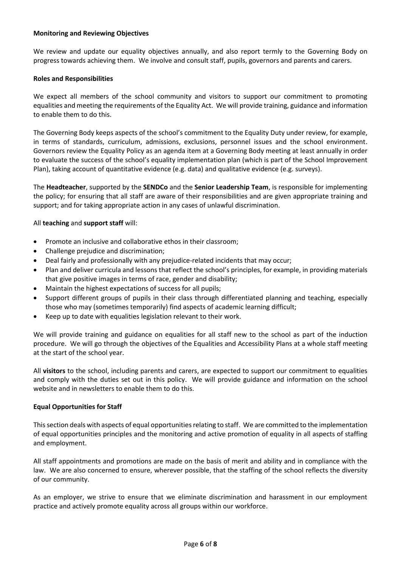# **Monitoring and Reviewing Objectives**

We review and update our equality objectives annually, and also report termly to the Governing Body on progress towards achieving them. We involve and consult staff, pupils, governors and parents and carers.

### **Roles and Responsibilities**

We expect all members of the school community and visitors to support our commitment to promoting equalities and meeting the requirements of the Equality Act. We will provide training, guidance and information to enable them to do this.

The Governing Body keeps aspects of the school's commitment to the Equality Duty under review, for example, in terms of standards, curriculum, admissions, exclusions, personnel issues and the school environment. Governors review the Equality Policy as an agenda item at a Governing Body meeting at least annually in order to evaluate the success of the school's equality implementation plan (which is part of the School Improvement Plan), taking account of quantitative evidence (e.g. data) and qualitative evidence (e.g. surveys).

The **Headteacher**, supported by the **SENDCo** and the **Senior Leadership Team**, is responsible for implementing the policy; for ensuring that all staff are aware of their responsibilities and are given appropriate training and support; and for taking appropriate action in any cases of unlawful discrimination.

All **teaching** and **support staff** will:

- Promote an inclusive and collaborative ethos in their classroom;
- Challenge prejudice and discrimination;
- Deal fairly and professionally with any prejudice-related incidents that may occur;
- Plan and deliver curricula and lessons that reflect the school's principles, for example, in providing materials that give positive images in terms of race, gender and disability;
- Maintain the highest expectations of success for all pupils;
- Support different groups of pupils in their class through differentiated planning and teaching, especially those who may (sometimes temporarily) find aspects of academic learning difficult;
- Keep up to date with equalities legislation relevant to their work.

We will provide training and guidance on equalities for all staff new to the school as part of the induction procedure. We will go through the objectives of the Equalities and Accessibility Plans at a whole staff meeting at the start of the school year.

All **visitors** to the school, including parents and carers, are expected to support our commitment to equalities and comply with the duties set out in this policy. We will provide guidance and information on the school website and in newsletters to enable them to do this.

### **Equal Opportunities for Staff**

This section deals with aspects of equal opportunities relating to staff. We are committed to the implementation of equal opportunities principles and the monitoring and active promotion of equality in all aspects of staffing and employment.

All staff appointments and promotions are made on the basis of merit and ability and in compliance with the law. We are also concerned to ensure, wherever possible, that the staffing of the school reflects the diversity of our community.

As an employer, we strive to ensure that we eliminate discrimination and harassment in our employment practice and actively promote equality across all groups within our workforce.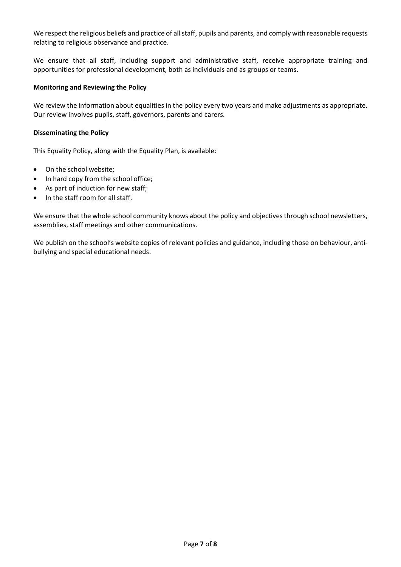We respect the religious beliefs and practice of all staff, pupils and parents, and comply with reasonable requests relating to religious observance and practice.

We ensure that all staff, including support and administrative staff, receive appropriate training and opportunities for professional development, both as individuals and as groups or teams.

# **Monitoring and Reviewing the Policy**

We review the information about equalities in the policy every two years and make adjustments as appropriate. Our review involves pupils, staff, governors, parents and carers.

# **Disseminating the Policy**

This Equality Policy, along with the Equality Plan, is available:

- On the school website;
- In hard copy from the school office;
- As part of induction for new staff;
- In the staff room for all staff.

We ensure that the whole school community knows about the policy and objectives through school newsletters, assemblies, staff meetings and other communications.

We publish on the school's website copies of relevant policies and guidance, including those on behaviour, antibullying and special educational needs.